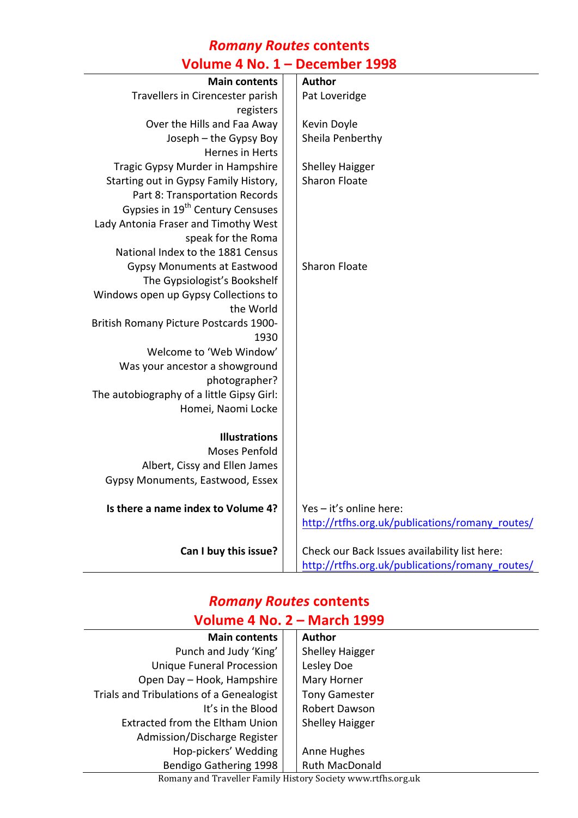### *Romany Routes* **contents Volume 4 No. 1 – December 1998**

| <b>Main contents</b>                         | <b>Author</b>                                   |
|----------------------------------------------|-------------------------------------------------|
| Travellers in Cirencester parish             | Pat Loveridge                                   |
| registers                                    |                                                 |
| Over the Hills and Faa Away                  | Kevin Doyle                                     |
| Joseph - the Gypsy Boy                       | Sheila Penberthy                                |
| Hernes in Herts                              |                                                 |
| Tragic Gypsy Murder in Hampshire             | <b>Shelley Haigger</b>                          |
| Starting out in Gypsy Family History,        | <b>Sharon Floate</b>                            |
| Part 8: Transportation Records               |                                                 |
| Gypsies in 19 <sup>th</sup> Century Censuses |                                                 |
| Lady Antonia Fraser and Timothy West         |                                                 |
| speak for the Roma                           |                                                 |
| National Index to the 1881 Census            |                                                 |
| <b>Gypsy Monuments at Eastwood</b>           | <b>Sharon Floate</b>                            |
| The Gypsiologist's Bookshelf                 |                                                 |
| Windows open up Gypsy Collections to         |                                                 |
| the World                                    |                                                 |
| British Romany Picture Postcards 1900-       |                                                 |
| 1930                                         |                                                 |
| Welcome to 'Web Window'                      |                                                 |
| Was your ancestor a showground               |                                                 |
| photographer?                                |                                                 |
| The autobiography of a little Gipsy Girl:    |                                                 |
| Homei, Naomi Locke                           |                                                 |
|                                              |                                                 |
| <b>Illustrations</b>                         |                                                 |
| <b>Moses Penfold</b>                         |                                                 |
| Albert, Cissy and Ellen James                |                                                 |
| Gypsy Monuments, Eastwood, Essex             |                                                 |
| Is there a name index to Volume 4?           | Yes - it's online here:                         |
|                                              | http://rtfhs.org.uk/publications/romany_routes/ |
| Can I buy this issue?                        | Check our Back Issues availability list here:   |
|                                              | http://rtfhs.org.uk/publications/romany_routes/ |

#### *Romany Routes* **contents Volume 4 No. 2 – March 1999**

| <b>Main contents</b>                     |  | <b>Author</b>          |
|------------------------------------------|--|------------------------|
| Punch and Judy 'King'                    |  | <b>Shelley Haigger</b> |
| <b>Unique Funeral Procession</b>         |  | Lesley Doe             |
| Open Day - Hook, Hampshire               |  | Mary Horner            |
| Trials and Tribulations of a Genealogist |  | <b>Tony Gamester</b>   |
| It's in the Blood                        |  | Robert Dawson          |
| Extracted from the Eltham Union          |  | <b>Shelley Haigger</b> |
| Admission/Discharge Register             |  |                        |
| Hop-pickers' Wedding                     |  | Anne Hughes            |
| Bendigo Gathering 1998                   |  | <b>Ruth MacDonald</b>  |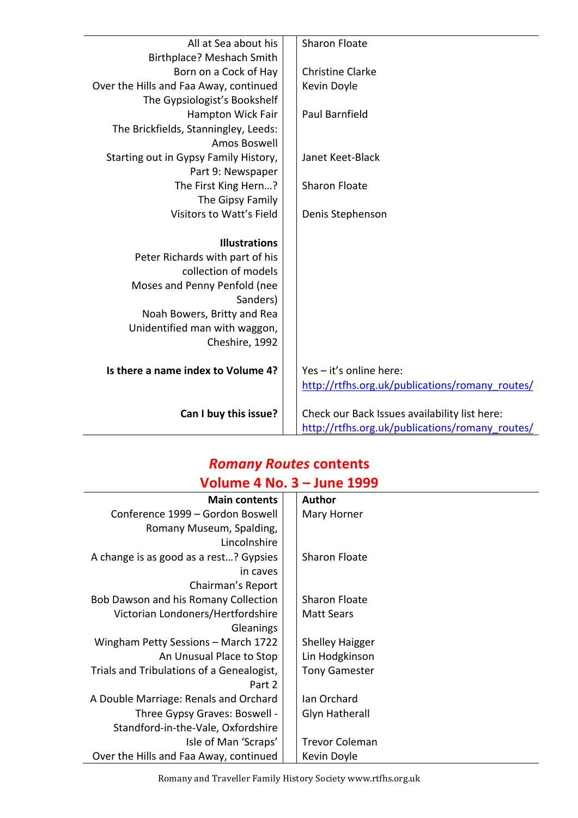| All at Sea about his                   | <b>Sharon Floate</b>                            |
|----------------------------------------|-------------------------------------------------|
| Birthplace? Meshach Smith              |                                                 |
| Born on a Cock of Hay                  | <b>Christine Clarke</b>                         |
| Over the Hills and Faa Away, continued | Kevin Doyle                                     |
| The Gypsiologist's Bookshelf           |                                                 |
| <b>Hampton Wick Fair</b>               | Paul Barnfield                                  |
| The Brickfields, Stanningley, Leeds:   |                                                 |
| Amos Boswell                           |                                                 |
| Starting out in Gypsy Family History,  | Janet Keet-Black                                |
| Part 9: Newspaper                      |                                                 |
| The First King Hern?                   | <b>Sharon Floate</b>                            |
| The Gipsy Family                       |                                                 |
| Visitors to Watt's Field               | Denis Stephenson                                |
|                                        |                                                 |
| <b>Illustrations</b>                   |                                                 |
| Peter Richards with part of his        |                                                 |
| collection of models                   |                                                 |
| Moses and Penny Penfold (nee           |                                                 |
| Sanders)                               |                                                 |
| Noah Bowers, Britty and Rea            |                                                 |
| Unidentified man with waggon,          |                                                 |
| Cheshire, 1992                         |                                                 |
|                                        |                                                 |
| Is there a name index to Volume 4?     | Yes - it's online here:                         |
|                                        | http://rtfhs.org.uk/publications/romany_routes/ |
|                                        |                                                 |
| Can I buy this issue?                  | Check our Back Issues availability list here:   |
|                                        | http://rtfhs.org.uk/publications/romany_routes/ |

#### *Romany Routes* **contents Volume 4 No. 3 – June 1999**

| .                                         |  |                        |
|-------------------------------------------|--|------------------------|
| <b>Main contents</b>                      |  | <b>Author</b>          |
| Conference 1999 – Gordon Boswell          |  | Mary Horner            |
| Romany Museum, Spalding,                  |  |                        |
| Lincolnshire                              |  |                        |
| A change is as good as a rest? Gypsies    |  | <b>Sharon Floate</b>   |
| in caves                                  |  |                        |
| Chairman's Report                         |  |                        |
| Bob Dawson and his Romany Collection      |  | Sharon Floate          |
| Victorian Londoners/Hertfordshire         |  | <b>Matt Sears</b>      |
| <b>Gleanings</b>                          |  |                        |
| Wingham Petty Sessions - March 1722       |  | <b>Shelley Haigger</b> |
| An Unusual Place to Stop                  |  | Lin Hodgkinson         |
| Trials and Tribulations of a Genealogist, |  | <b>Tony Gamester</b>   |
| Part 2                                    |  |                        |
| A Double Marriage: Renals and Orchard     |  | Ian Orchard            |
| Three Gypsy Graves: Boswell -             |  | <b>Glyn Hatherall</b>  |
| Standford-in-the-Vale, Oxfordshire        |  |                        |
| Isle of Man 'Scraps'                      |  | <b>Trevor Coleman</b>  |
| Over the Hills and Faa Away, continued    |  | Kevin Doyle            |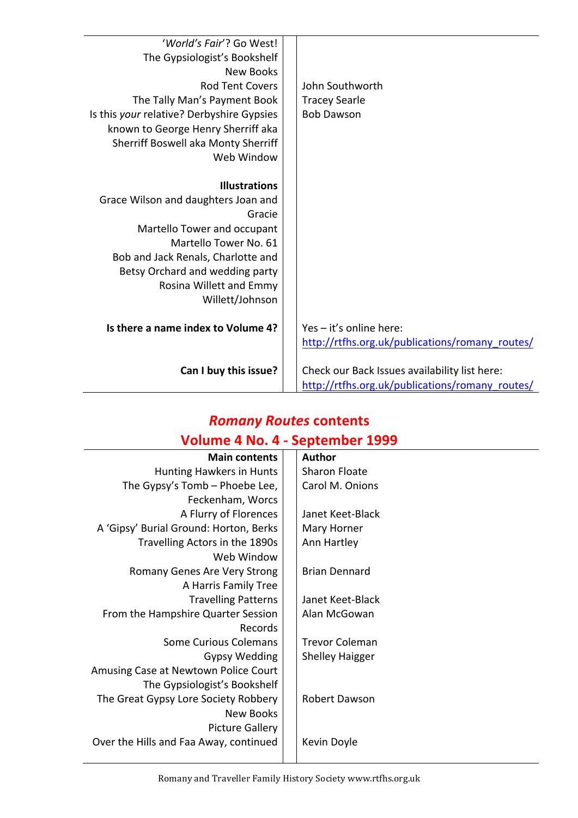| Can I buy this issue?                                                         | Check our Back Issues availability list here:<br>http://rtfhs.org.uk/publications/romany_routes/ |
|-------------------------------------------------------------------------------|--------------------------------------------------------------------------------------------------|
| Is there a name index to Volume 4?                                            | Yes - it's online here:<br>http://rtfhs.org.uk/publications/romany_routes/                       |
| Betsy Orchard and wedding party<br>Rosina Willett and Emmy<br>Willett/Johnson |                                                                                                  |
| Bob and Jack Renals, Charlotte and                                            |                                                                                                  |
| Martello Tower No. 61                                                         |                                                                                                  |
| Gracie<br>Martello Tower and occupant                                         |                                                                                                  |
| Grace Wilson and daughters Joan and                                           |                                                                                                  |
| <b>Illustrations</b>                                                          |                                                                                                  |
| Web Window                                                                    |                                                                                                  |
| Sherriff Boswell aka Monty Sherriff                                           |                                                                                                  |
| known to George Henry Sherriff aka                                            |                                                                                                  |
| The Tally Man's Payment Book<br>Is this your relative? Derbyshire Gypsies     | <b>Tracey Searle</b><br><b>Bob Dawson</b>                                                        |
| <b>Rod Tent Covers</b>                                                        | John Southworth                                                                                  |
| <b>New Books</b>                                                              |                                                                                                  |
| The Gypsiologist's Bookshelf                                                  |                                                                                                  |
| 'World's Fair'? Go West!                                                      |                                                                                                  |

## *Romany Routes* **contents Volume 4 No. 4 - September 1999**

| <b>Main contents</b>                   | <b>Author</b>          |
|----------------------------------------|------------------------|
| Hunting Hawkers in Hunts               | <b>Sharon Floate</b>   |
| The Gypsy's Tomb - Phoebe Lee,         | Carol M. Onions        |
| Feckenham, Worcs                       |                        |
| A Flurry of Florences                  | Janet Keet-Black       |
| A 'Gipsy' Burial Ground: Horton, Berks | Mary Horner            |
| Travelling Actors in the 1890s         | Ann Hartley            |
| Web Window                             |                        |
| Romany Genes Are Very Strong           | <b>Brian Dennard</b>   |
| A Harris Family Tree                   |                        |
| <b>Travelling Patterns</b>             | Janet Keet-Black       |
| From the Hampshire Quarter Session     | Alan McGowan           |
| Records                                |                        |
| <b>Some Curious Colemans</b>           | <b>Trevor Coleman</b>  |
| <b>Gypsy Wedding</b>                   | <b>Shelley Haigger</b> |
| Amusing Case at Newtown Police Court   |                        |
| The Gypsiologist's Bookshelf           |                        |
| The Great Gypsy Lore Society Robbery   | Robert Dawson          |
| <b>New Books</b>                       |                        |
| <b>Picture Gallery</b>                 |                        |
| Over the Hills and Faa Away, continued | Kevin Doyle            |
|                                        |                        |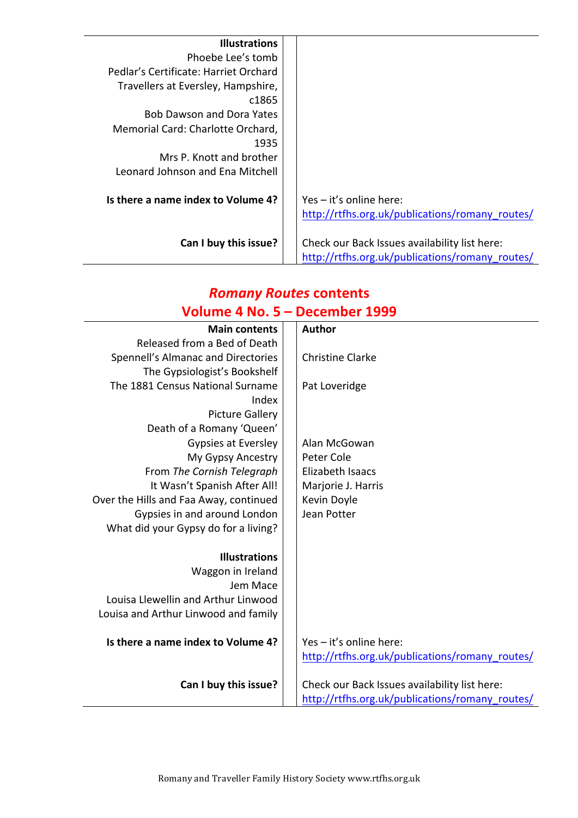| <b>Illustrations</b>                  |                                                 |
|---------------------------------------|-------------------------------------------------|
| Phoebe Lee's tomb                     |                                                 |
| Pedlar's Certificate: Harriet Orchard |                                                 |
| Travellers at Eversley, Hampshire,    |                                                 |
| c1865                                 |                                                 |
| <b>Bob Dawson and Dora Yates</b>      |                                                 |
| Memorial Card: Charlotte Orchard,     |                                                 |
| 1935                                  |                                                 |
| Mrs P. Knott and brother              |                                                 |
| Leonard Johnson and Fna Mitchell      |                                                 |
|                                       |                                                 |
| Is there a name index to Volume 4?    | Yes - it's online here:                         |
|                                       | http://rtfhs.org.uk/publications/romany routes/ |
| Can I buy this issue?                 | Check our Back Issues availability list here:   |
|                                       | http://rtfhs.org.uk/publications/romany routes/ |

## *Romany Routes* **contents Volume 4 No. 5 – December 1999**

| <b>Main contents</b>                   | <b>Author</b>                                   |
|----------------------------------------|-------------------------------------------------|
| Released from a Bed of Death           |                                                 |
| Spennell's Almanac and Directories     | <b>Christine Clarke</b>                         |
| The Gypsiologist's Bookshelf           |                                                 |
| The 1881 Census National Surname       | Pat Loveridge                                   |
| Index                                  |                                                 |
| <b>Picture Gallery</b>                 |                                                 |
| Death of a Romany 'Queen'              |                                                 |
| Gypsies at Eversley                    | Alan McGowan                                    |
| My Gypsy Ancestry                      | Peter Cole                                      |
| From The Cornish Telegraph             | Elizabeth Isaacs                                |
| It Wasn't Spanish After All!           | Marjorie J. Harris                              |
| Over the Hills and Faa Away, continued | Kevin Doyle                                     |
| Gypsies in and around London           | Jean Potter                                     |
| What did your Gypsy do for a living?   |                                                 |
|                                        |                                                 |
| <b>Illustrations</b>                   |                                                 |
| Waggon in Ireland                      |                                                 |
| Jem Mace                               |                                                 |
| Louisa Llewellin and Arthur Linwood    |                                                 |
| Louisa and Arthur Linwood and family   |                                                 |
| Is there a name index to Volume 4?     | Yes - it's online here:                         |
|                                        | http://rtfhs.org.uk/publications/romany_routes/ |
|                                        |                                                 |
| Can I buy this issue?                  | Check our Back Issues availability list here:   |
|                                        | http://rtfhs.org.uk/publications/romany_routes/ |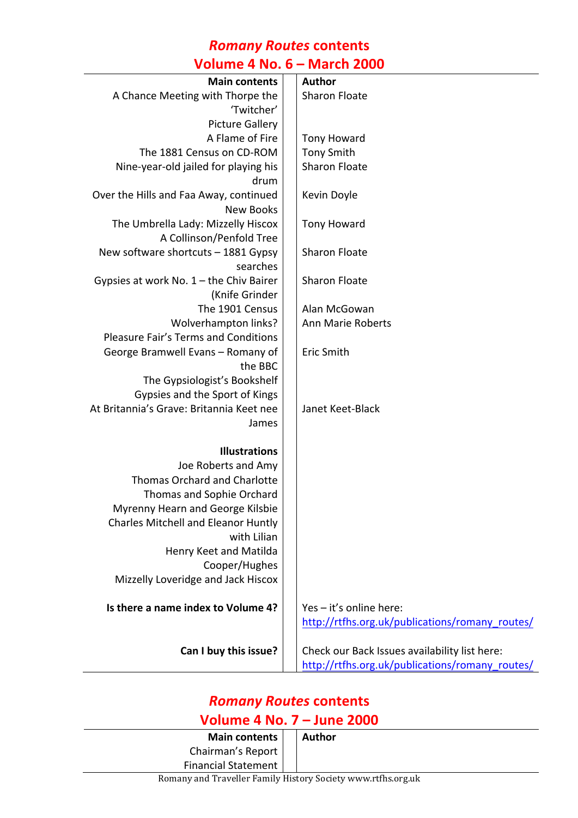### *Romany Routes* **contents**

### **Volume 4 No. 6 – March 2000**

| <b>Main contents</b>                        | <b>Author</b>                                   |
|---------------------------------------------|-------------------------------------------------|
| A Chance Meeting with Thorpe the            | <b>Sharon Floate</b>                            |
| 'Twitcher'                                  |                                                 |
| <b>Picture Gallery</b>                      |                                                 |
| A Flame of Fire                             | <b>Tony Howard</b>                              |
| The 1881 Census on CD-ROM                   | <b>Tony Smith</b>                               |
| Nine-year-old jailed for playing his        | <b>Sharon Floate</b>                            |
| drum                                        |                                                 |
| Over the Hills and Faa Away, continued      | Kevin Doyle                                     |
| <b>New Books</b>                            |                                                 |
| The Umbrella Lady: Mizzelly Hiscox          | <b>Tony Howard</b>                              |
| A Collinson/Penfold Tree                    |                                                 |
| New software shortcuts - 1881 Gypsy         | Sharon Floate                                   |
| searches                                    |                                                 |
| Gypsies at work No. 1 - the Chiv Bairer     | Sharon Floate                                   |
| (Knife Grinder                              |                                                 |
| The 1901 Census                             | Alan McGowan                                    |
| Wolverhampton links?                        | Ann Marie Roberts                               |
| <b>Pleasure Fair's Terms and Conditions</b> |                                                 |
| George Bramwell Evans - Romany of           | Eric Smith                                      |
| the BBC                                     |                                                 |
| The Gypsiologist's Bookshelf                |                                                 |
| Gypsies and the Sport of Kings              |                                                 |
| At Britannia's Grave: Britannia Keet nee    | Janet Keet-Black                                |
| James                                       |                                                 |
|                                             |                                                 |
| <b>Illustrations</b>                        |                                                 |
| Joe Roberts and Amy                         |                                                 |
| <b>Thomas Orchard and Charlotte</b>         |                                                 |
| Thomas and Sophie Orchard                   |                                                 |
| Myrenny Hearn and George Kilsbie            |                                                 |
| <b>Charles Mitchell and Eleanor Huntly</b>  |                                                 |
| with Lilian                                 |                                                 |
| Henry Keet and Matilda                      |                                                 |
| Cooper/Hughes                               |                                                 |
| Mizzelly Loveridge and Jack Hiscox          |                                                 |
| Is there a name index to Volume 4?          | Yes - it's online here:                         |
|                                             | http://rtfhs.org.uk/publications/romany_routes/ |
| Can I buy this issue?                       | Check our Back Issues availability list here:   |
|                                             | http://rtfhs.org.uk/publications/romany_routes/ |
|                                             |                                                 |

# *Romany Routes* **contents Volume 4 No. 7 – June 2000**

| Main contents              |  | Author |
|----------------------------|--|--------|
| Chairman's Report          |  |        |
| <b>Financial Statement</b> |  |        |
| ו הוי מינויים וויחו ח      |  |        |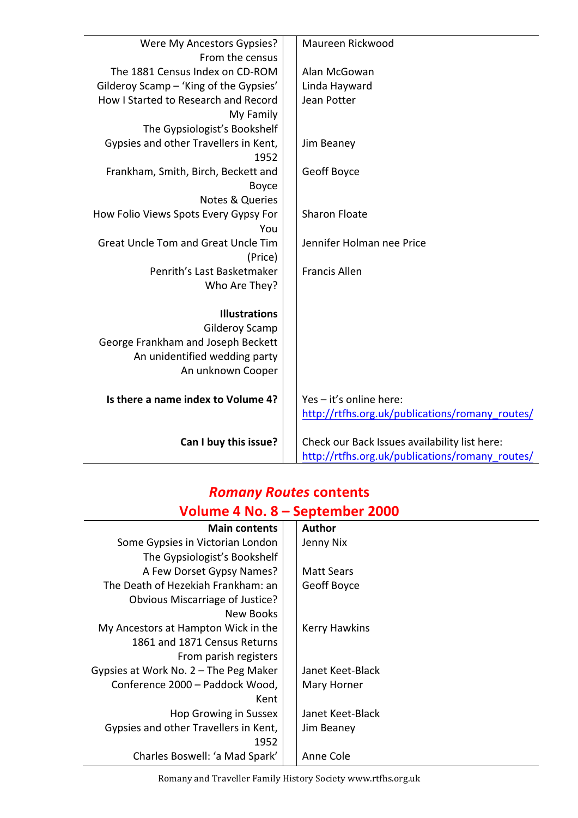| Were My Ancestors Gypsies?                 | Maureen Rickwood                                |
|--------------------------------------------|-------------------------------------------------|
| From the census                            |                                                 |
| The 1881 Census Index on CD-ROM            | Alan McGowan                                    |
| Gilderoy Scamp - 'King of the Gypsies'     | Linda Hayward                                   |
| How I Started to Research and Record       | Jean Potter                                     |
| My Family                                  |                                                 |
| The Gypsiologist's Bookshelf               |                                                 |
| Gypsies and other Travellers in Kent,      | Jim Beaney                                      |
| 1952                                       |                                                 |
| Frankham, Smith, Birch, Beckett and        | Geoff Boyce                                     |
| <b>Boyce</b>                               |                                                 |
| <b>Notes &amp; Queries</b>                 |                                                 |
| How Folio Views Spots Every Gypsy For      | <b>Sharon Floate</b>                            |
| You                                        |                                                 |
| <b>Great Uncle Tom and Great Uncle Tim</b> | Jennifer Holman nee Price                       |
| (Price)                                    |                                                 |
| Penrith's Last Basketmaker                 | <b>Francis Allen</b>                            |
| Who Are They?                              |                                                 |
|                                            |                                                 |
| <b>Illustrations</b>                       |                                                 |
| <b>Gilderoy Scamp</b>                      |                                                 |
| George Frankham and Joseph Beckett         |                                                 |
| An unidentified wedding party              |                                                 |
| An unknown Cooper                          |                                                 |
|                                            |                                                 |
| Is there a name index to Volume 4?         | Yes - it's online here:                         |
|                                            | http://rtfhs.org.uk/publications/romany routes/ |
|                                            |                                                 |
| Can I buy this issue?                      | Check our Back Issues availability list here:   |
|                                            | http://rtfhs.org.uk/publications/romany_routes/ |

### *Romany Routes* **contents Volume 4 No. 8 – September 2000**

| <b>Main contents</b>                    |  | <b>Author</b>        |
|-----------------------------------------|--|----------------------|
| Some Gypsies in Victorian London        |  | Jenny Nix            |
| The Gypsiologist's Bookshelf            |  |                      |
| A Few Dorset Gypsy Names?               |  | <b>Matt Sears</b>    |
| The Death of Hezekiah Frankham: an      |  | Geoff Boyce          |
| Obvious Miscarriage of Justice?         |  |                      |
| New Books                               |  |                      |
| My Ancestors at Hampton Wick in the     |  | <b>Kerry Hawkins</b> |
| 1861 and 1871 Census Returns            |  |                      |
| From parish registers                   |  |                      |
| Gypsies at Work No. $2$ – The Peg Maker |  | Janet Keet-Black     |
| Conference 2000 - Paddock Wood,         |  | Mary Horner          |
| Kent                                    |  |                      |
| Hop Growing in Sussex                   |  | Janet Keet-Black     |
| Gypsies and other Travellers in Kent,   |  | Jim Beaney           |
| 1952                                    |  |                      |
| Charles Boswell: 'a Mad Spark'          |  | Anne Cole            |